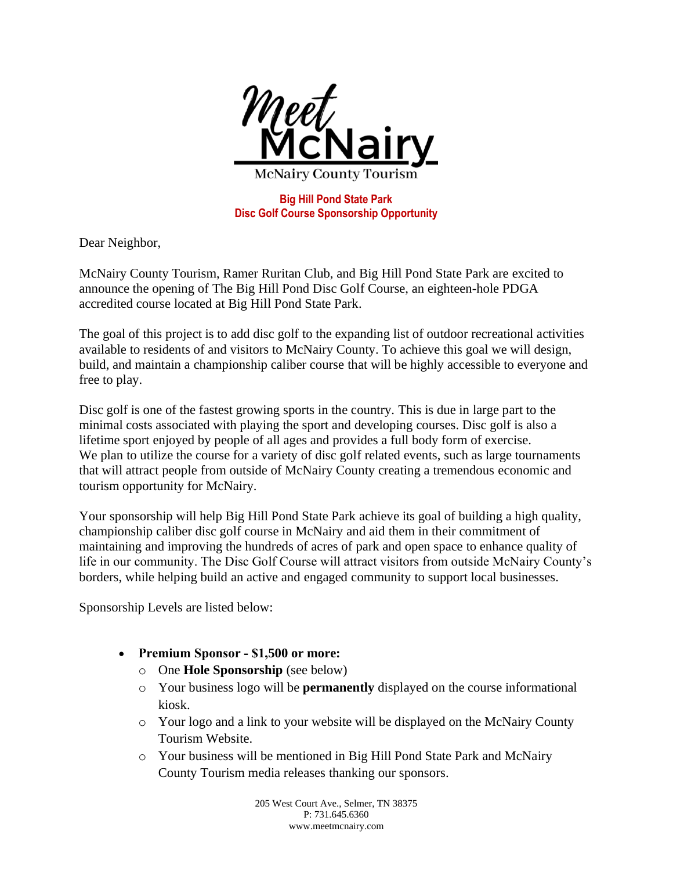

**Big Hill Pond State Park Disc Golf Course Sponsorship Opportunity**

Dear Neighbor,

McNairy County Tourism, Ramer Ruritan Club, and Big Hill Pond State Park are excited to announce the opening of The Big Hill Pond Disc Golf Course, an eighteen-hole PDGA accredited course located at Big Hill Pond State Park.

The goal of this project is to add disc golf to the expanding list of outdoor recreational activities available to residents of and visitors to McNairy County. To achieve this goal we will design, build, and maintain a championship caliber course that will be highly accessible to everyone and free to play.

Disc golf is one of the fastest growing sports in the country. This is due in large part to the minimal costs associated with playing the sport and developing courses. Disc golf is also a lifetime sport enjoyed by people of all ages and provides a full body form of exercise. We plan to utilize the course for a variety of disc golf related events, such as large tournaments that will attract people from outside of McNairy County creating a tremendous economic and tourism opportunity for McNairy.

Your sponsorship will help Big Hill Pond State Park achieve its goal of building a high quality, championship caliber disc golf course in McNairy and aid them in their commitment of maintaining and improving the hundreds of acres of park and open space to enhance quality of life in our community. The Disc Golf Course will attract visitors from outside McNairy County's borders, while helping build an active and engaged community to support local businesses.

Sponsorship Levels are listed below:

- **Premium Sponsor ‐ \$1,500 or more:**
	- o One **Hole Sponsorship** (see below)
	- o Your business logo will be **permanently** displayed on the course informational kiosk.
	- o Your logo and a link to your website will be displayed on the McNairy County Tourism Website.
	- o Your business will be mentioned in Big Hill Pond State Park and McNairy County Tourism media releases thanking our sponsors.

205 West Court Ave., Selmer, TN 38375 P: 731.645.6360 www.meetmcnairy.com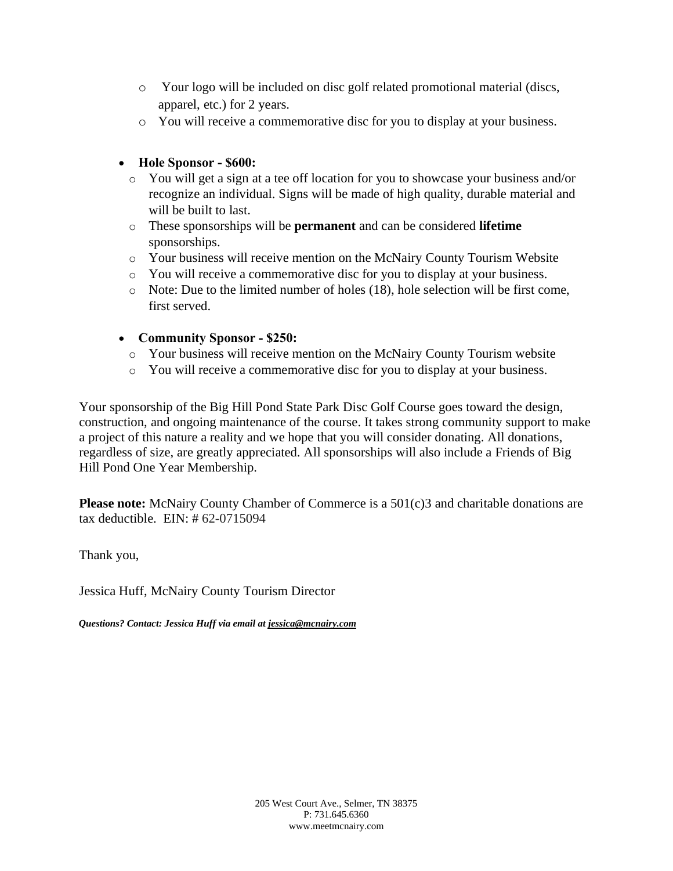- o Your logo will be included on disc golf related promotional material (discs, apparel, etc.) for 2 years.
- o You will receive a commemorative disc for you to display at your business.

## • **Hole Sponsor ‐ \$600:**

- o You will get a sign at a tee off location for you to showcase your business and/or recognize an individual. Signs will be made of high quality, durable material and will be built to last.
- o These sponsorships will be **permanent** and can be considered **lifetime** sponsorships.
- o Your business will receive mention on the McNairy County Tourism Website
- o You will receive a commemorative disc for you to display at your business.
- o Note: Due to the limited number of holes (18), hole selection will be first come, first served.

## • **Community Sponsor ‐ \$250:**

- o Your business will receive mention on the McNairy County Tourism website
- o You will receive a commemorative disc for you to display at your business.

Your sponsorship of the Big Hill Pond State Park Disc Golf Course goes toward the design, construction, and ongoing maintenance of the course. It takes strong community support to make a project of this nature a reality and we hope that you will consider donating. All donations, regardless of size, are greatly appreciated. All sponsorships will also include a Friends of Big Hill Pond One Year Membership.

**Please note:** McNairy County Chamber of Commerce is a 501(c)3 and charitable donations are tax deductible. EIN: # 62-0715094

Thank you,

Jessica Huff, McNairy County Tourism Director

*Questions? Contact: Jessica Huff via email at jessica@mcnairy.com*